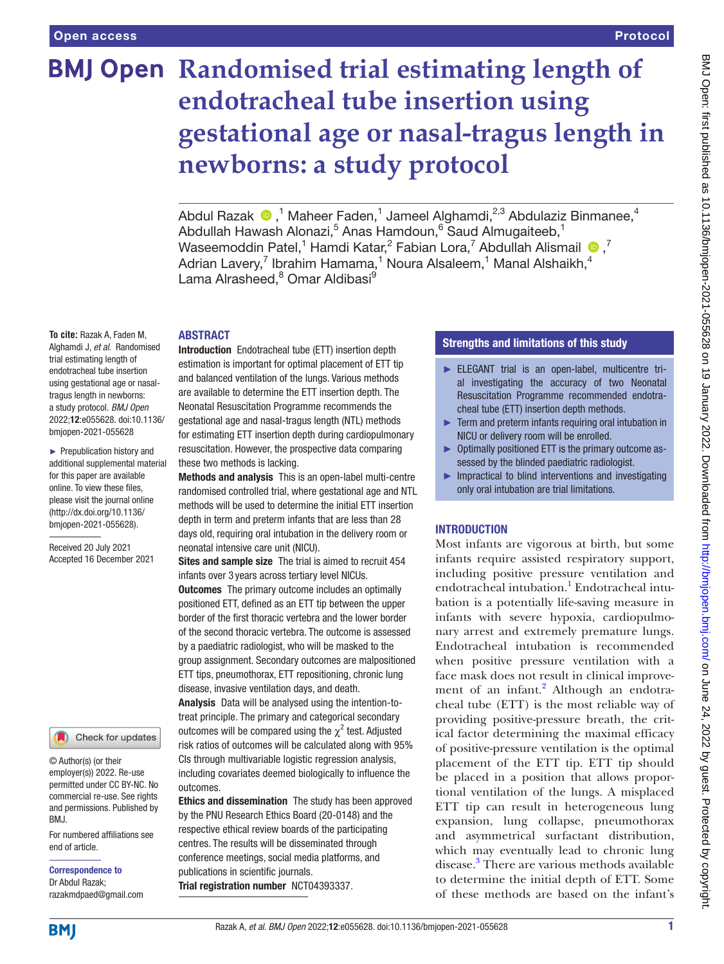# **BMJ Open Randomised trial estimating length of endotracheal tube insertion using gestational age or nasal-tragus length in newborns: a study protocol**

AbdulRazak  $\bigcirc$ ,<sup>1</sup> Maheer Faden,<sup>1</sup> Jameel Alghamdi,<sup>2,3</sup> Abdulaziz Binmanee,<sup>4</sup> Abdullah Hawash Alonazi,<sup>5</sup> Anas Hamdoun,<sup>6</sup> Saud Almugaiteeb,<sup>1</sup> WaseemoddinPatel,<sup>1</sup> Hamdi Katar,<sup>2</sup> Fabian Lora,<sup>7</sup> Abdullah Alismail  $\bullet$ ,<sup>7</sup> Adrian Lavery,<sup>7</sup> Ibrahim Hamama,<sup>1</sup> Noura Alsaleem,<sup>1</sup> Manal Alshaikh,<sup>4</sup> Lama Alrasheed,<sup>8</sup> Omar Aldibasi<sup>9</sup>

#### ABSTRACT

**To cite:** Razak A, Faden M, Alghamdi J, *et al*. Randomised trial estimating length of endotracheal tube insertion using gestational age or nasaltragus length in newborns: a study protocol. *BMJ Open* 2022;12:e055628. doi:10.1136/ bmjopen-2021-055628

► Prepublication history and additional supplemental material for this paper are available online. To view these files, please visit the journal online [\(http://dx.doi.org/10.1136/](http://dx.doi.org/10.1136/bmjopen-2021-055628) [bmjopen-2021-055628](http://dx.doi.org/10.1136/bmjopen-2021-055628)).

Received 20 July 2021 Accepted 16 December 2021

#### Check for updates

© Author(s) (or their employer(s)) 2022. Re-use permitted under CC BY-NC. No commercial re-use. See rights and permissions. Published by BMJ.

For numbered affiliations see end of article.

Correspondence to Dr Abdul Razak; razakmdpaed@gmail.com

Introduction Endotracheal tube (ETT) insertion depth estimation is important for optimal placement of ETT tip and balanced ventilation of the lungs. Various methods are available to determine the ETT insertion depth. The Neonatal Resuscitation Programme recommends the gestational age and nasal-tragus length (NTL) methods for estimating ETT insertion depth during cardiopulmonary resuscitation. However, the prospective data comparing these two methods is lacking.

Methods and analysis This is an open-label multi-centre randomised controlled trial, where gestational age and NTL methods will be used to determine the initial ETT insertion depth in term and preterm infants that are less than 28 days old, requiring oral intubation in the delivery room or neonatal intensive care unit (NICU).

Sites and sample size The trial is aimed to recruit 454 infants over 3 years across tertiary level NICUs. **Outcomes** The primary outcome includes an optimally positioned ETT, defined as an ETT tip between the upper border of the first thoracic vertebra and the lower border of the second thoracic vertebra. The outcome is assessed by a paediatric radiologist, who will be masked to the group assignment. Secondary outcomes are malpositioned ETT tips, pneumothorax, ETT repositioning, chronic lung disease, invasive ventilation days, and death.

Analysis Data will be analysed using the intention-totreat principle. The primary and categorical secondary outcomes will be compared using the  $\chi^2$  test. Adjusted risk ratios of outcomes will be calculated along with 95% CIs through multivariable logistic regression analysis, including covariates deemed biologically to influence the outcomes.

Ethics and dissemination The study has been approved by the PNU Research Ethics Board (20-0148) and the respective ethical review boards of the participating centres. The results will be disseminated through conference meetings, social media platforms, and publications in scientific journals. Trial registration number <NCT04393337>.

## Strengths and limitations of this study

- ► ELEGANT trial is an open-label, multicentre trial investigating the accuracy of two Neonatal Resuscitation Programme recommended endotracheal tube (ETT) insertion depth methods.
- ► Term and preterm infants requiring oral intubation in NICU or delivery room will be enrolled.
- ► Optimally positioned ETT is the primary outcome assessed by the blinded paediatric radiologist.
- $\blacktriangleright$  Impractical to blind interventions and investigating only oral intubation are trial limitations.

## INTRODUCTION

Most infants are vigorous at birth, but some infants require assisted respiratory support, including positive pressure ventilation and endotracheal intubation.<sup>1</sup> Endotracheal intubation is a potentially life-saving measure in infants with severe hypoxia, cardiopulmonary arrest and extremely premature lungs. Endotracheal intubation is recommended when positive pressure ventilation with a face mask does not result in clinical improve-ment of an infant.<sup>[2](#page-4-1)</sup> Although an endotracheal tube (ETT) is the most reliable way of providing positive-pressure breath, the critical factor determining the maximal efficacy of positive-pressure ventilation is the optimal placement of the ETT tip. ETT tip should be placed in a position that allows proportional ventilation of the lungs. A misplaced ETT tip can result in heterogeneous lung expansion, lung collapse, pneumothorax and asymmetrical surfactant distribution, which may eventually lead to chronic lung disease.<sup>[3](#page-4-2)</sup> There are various methods available to determine the initial depth of ETT. Some of these methods are based on the infant's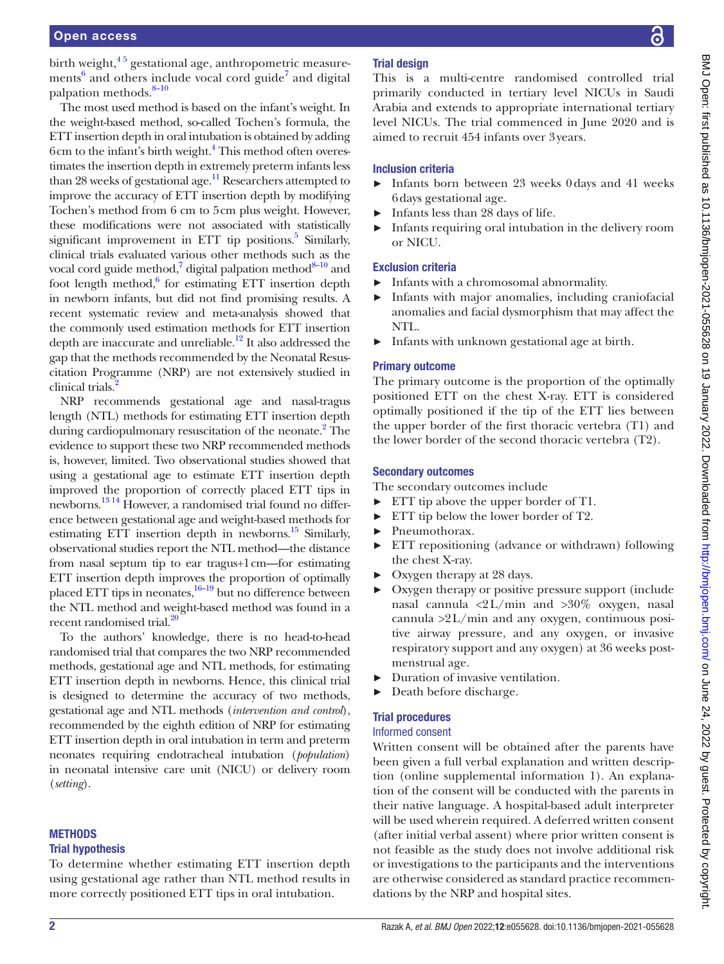birth weight, $4<sup>5</sup>$  gestational age, anthropometric measure-ments<sup>[6](#page-4-4)</sup> and others include vocal cord guide<sup>7</sup> and digital palpation methods.<sup>8-10</sup>

The most used method is based on the infant's weight. In the weight-based method, so-called Tochen's formula, the ETT insertion depth in oral intubation is obtained by adding 6cm to the infant's birth weight.<sup>4</sup> This method often overestimates the insertion depth in extremely preterm infants less than 28 weeks of gestational age. $^{11}$  Researchers attempted to improve the accuracy of ETT insertion depth by modifying Tochen's method from 6 cm to 5cm plus weight. However, these modifications were not associated with statistically significant improvement in ETT tip positions.<sup>5</sup> Similarly, clinical trials evaluated various other methods such as the vocal cord guide method,<sup>7</sup> digital palpation method<sup>8-10</sup> and foot length method, $6$  for estimating ETT insertion depth in newborn infants, but did not find promising results. A recent systematic review and meta-analysis showed that the commonly used estimation methods for ETT insertion depth are inaccurate and unreliable.<sup>12</sup> It also addressed the gap that the methods recommended by the Neonatal Resuscitation Programme (NRP) are not extensively studied in clinical trials.<sup>2</sup>

NRP recommends gestational age and nasal-tragus length (NTL) methods for estimating ETT insertion depth during cardiopulmonary resuscitation of the neonate.<sup>2</sup> The evidence to support these two NRP recommended methods is, however, limited. Two observational studies showed that using a gestational age to estimate ETT insertion depth improved the proportion of correctly placed ETT tips in newborns.<sup>13 14</sup> However, a randomised trial found no difference between gestational age and weight-based methods for estimating ETT insertion depth in newborns.<sup>15</sup> Similarly, observational studies report the NTL method—the distance from nasal septum tip to ear tragus+1cm—for estimating ETT insertion depth improves the proportion of optimally placed ETT tips in neonates,<sup>16–19</sup> but no difference between the NTL method and weight-based method was found in a recent randomised trial.<sup>20</sup>

To the authors' knowledge, there is no head-to-head randomised trial that compares the two NRP recommended methods, gestational age and NTL methods, for estimating ETT insertion depth in newborns. Hence, this clinical trial is designed to determine the accuracy of two methods, gestational age and NTL methods (*intervention and control*), recommended by the eighth edition of NRP for estimating ETT insertion depth in oral intubation in term and preterm neonates requiring endotracheal intubation (*population*) in neonatal intensive care unit (NICU) or delivery room (*setting*).

## **METHODS**

#### Trial hypothesis

To determine whether estimating ETT insertion depth using gestational age rather than NTL method results in more correctly positioned ETT tips in oral intubation.

## Trial design

This is a multi-centre randomised controlled trial primarily conducted in tertiary level NICUs in Saudi Arabia and extends to appropriate international tertiary level NICUs. The trial commenced in June 2020 and is aimed to recruit 454 infants over 3years.

### Inclusion criteria

- ► Infants born between 23 weeks 0days and 41 weeks 6days gestational age.
- ► Infants less than 28 days of life.
- ► Infants requiring oral intubation in the delivery room or NICU.

## Exclusion criteria

- ► Infants with a chromosomal abnormality.
- Infants with major anomalies, including craniofacial anomalies and facial dysmorphism that may affect the NTL.
- ► Infants with unknown gestational age at birth.

#### Primary outcome

The primary outcome is the proportion of the optimally positioned ETT on the chest X-ray. ETT is considered optimally positioned if the tip of the ETT lies between the upper border of the first thoracic vertebra (T1) and the lower border of the second thoracic vertebra (T2).

#### Secondary outcomes

The secondary outcomes include

- ► ETT tip above the upper border of T1.
- ► ETT tip below the lower border of T2.
- ► Pneumothorax.
- ► ETT repositioning (advance or withdrawn) following the chest X-ray.
- ► Oxygen therapy at 28 days.
- Oxygen therapy or positive pressure support (include nasal cannula <2L/min and >30% oxygen, nasal cannula  $>2$ L/min and any oxygen, continuous positive airway pressure, and any oxygen, or invasive respiratory support and any oxygen) at 36 weeks postmenstrual age.
- ► Duration of invasive ventilation.
- ► Death before discharge.

## Trial procedures

#### Informed consent

Written consent will be obtained after the parents have been given a full verbal explanation and written description ([online supplemental information 1](https://dx.doi.org/10.1136/bmjopen-2021-055628)). An explanation of the consent will be conducted with the parents in their native language. A hospital-based adult interpreter will be used wherein required. A deferred written consent (after initial verbal assent) where prior written consent is not feasible as the study does not involve additional risk or investigations to the participants and the interventions are otherwise considered as standard practice recommendations by the NRP and hospital sites.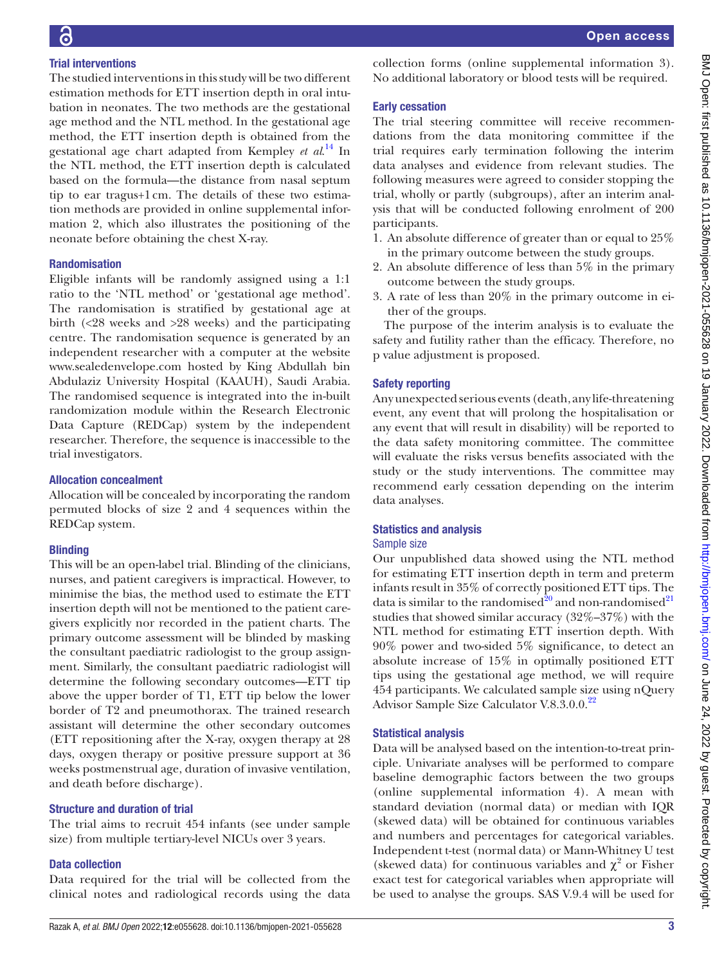## Trial interventions

The studied interventions in this study will be two different estimation methods for ETT insertion depth in oral intubation in neonates. The two methods are the gestational age method and the NTL method. In the gestational age method, the ETT insertion depth is obtained from the gestational age chart adapted from Kempley *et al*. [14](#page-4-14) In the NTL method, the ETT insertion depth is calculated based on the formula—the distance from nasal septum tip to ear tragus+1cm. The details of these two estimation methods are provided in [online supplemental infor](https://dx.doi.org/10.1136/bmjopen-2021-055628)[mation 2](https://dx.doi.org/10.1136/bmjopen-2021-055628), which also illustrates the positioning of the neonate before obtaining the chest X-ray.

## Randomisation

Eligible infants will be randomly assigned using a 1:1 ratio to the 'NTL method' or 'gestational age method'. The randomisation is stratified by gestational age at birth (<28 weeks and >28 weeks) and the participating centre. The randomisation sequence is generated by an independent researcher with a computer at the website <www.sealedenvelope.com> hosted by King Abdullah bin Abdulaziz University Hospital (KAAUH), Saudi Arabia. The randomised sequence is integrated into the in-built randomization module within the Research Electronic Data Capture (REDCap) system by the independent researcher. Therefore, the sequence is inaccessible to the trial investigators.

#### Allocation concealment

Allocation will be concealed by incorporating the random permuted blocks of size 2 and 4 sequences within the REDCap system.

## **Blinding**

This will be an open-label trial. Blinding of the clinicians, nurses, and patient caregivers is impractical. However, to minimise the bias, the method used to estimate the ETT insertion depth will not be mentioned to the patient caregivers explicitly nor recorded in the patient charts. The primary outcome assessment will be blinded by masking the consultant paediatric radiologist to the group assignment. Similarly, the consultant paediatric radiologist will determine the following secondary outcomes—ETT tip above the upper border of T1, ETT tip below the lower border of T2 and pneumothorax. The trained research assistant will determine the other secondary outcomes (ETT repositioning after the X-ray, oxygen therapy at 28 days, oxygen therapy or positive pressure support at 36 weeks postmenstrual age, duration of invasive ventilation, and death before discharge).

## Structure and duration of trial

The trial aims to recruit 454 infants (see under sample size) from multiple tertiary-level NICUs over 3 years.

## Data collection

Data required for the trial will be collected from the clinical notes and radiological records using the data collection forms ([online supplemental information 3\)](https://dx.doi.org/10.1136/bmjopen-2021-055628). No additional laboratory or blood tests will be required.

## Early cessation

The trial steering committee will receive recommendations from the data monitoring committee if the trial requires early termination following the interim data analyses and evidence from relevant studies. The following measures were agreed to consider stopping the trial, wholly or partly (subgroups), after an interim analysis that will be conducted following enrolment of 200 participants.

- 1. An absolute difference of greater than or equal to 25% in the primary outcome between the study groups.
- 2. An absolute difference of less than 5% in the primary outcome between the study groups.
- 3. A rate of less than 20% in the primary outcome in either of the groups.

The purpose of the interim analysis is to evaluate the safety and futility rather than the efficacy. Therefore, no p value adjustment is proposed.

## Safety reporting

Any unexpected serious events (death, any life-threatening event, any event that will prolong the hospitalisation or any event that will result in disability) will be reported to the data safety monitoring committee. The committee will evaluate the risks versus benefits associated with the study or the study interventions. The committee may recommend early cessation depending on the interim data analyses.

## Statistics and analysis

## Sample size

Our unpublished data showed using the NTL method for estimating ETT insertion depth in term and preterm infants result in 35% of correctly positioned ETT tips. The data is similar to the randomised $2^0$  and non-randomised $2^1$ studies that showed similar accuracy (32%–37%) with the NTL method for estimating ETT insertion depth. With 90% power and two-sided 5% significance, to detect an absolute increase of 15% in optimally positioned ETT tips using the gestational age method, we will require 454 participants. We calculated sample size using nQuery Advisor Sample Size Calculator V.8.3.0.0.<sup>[22](#page-4-16)</sup>

## Statistical analysis

Data will be analysed based on the intention-to-treat principle. Univariate analyses will be performed to compare baseline demographic factors between the two groups [\(online supplemental information 4](https://dx.doi.org/10.1136/bmjopen-2021-055628)). A mean with standard deviation (normal data) or median with IQR (skewed data) will be obtained for continuous variables and numbers and percentages for categorical variables. Independent t-test (normal data) or Mann-Whitney U test (skewed data) for continuous variables and  $\chi^2$  or Fisher exact test for categorical variables when appropriate will be used to analyse the groups. SAS V.9.4 will be used for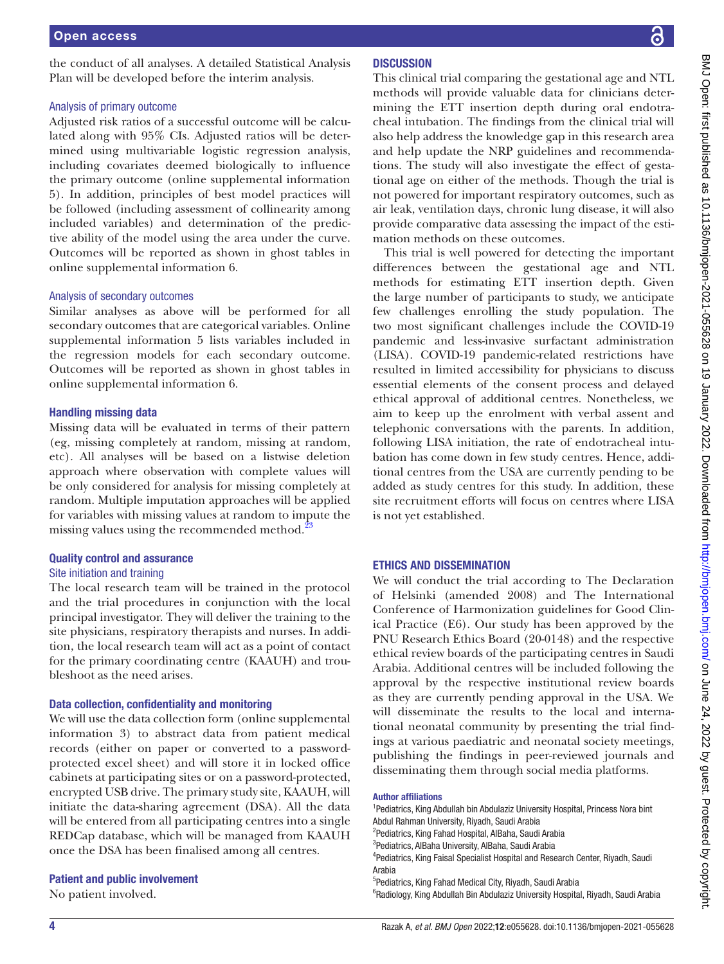the conduct of all analyses. A detailed Statistical Analysis Plan will be developed before the interim analysis.

#### Analysis of primary outcome

Adjusted risk ratios of a successful outcome will be calculated along with 95% CIs. Adjusted ratios will be determined using multivariable logistic regression analysis, including covariates deemed biologically to influence the primary outcome ([online supplemental information](https://dx.doi.org/10.1136/bmjopen-2021-055628) [5\)](https://dx.doi.org/10.1136/bmjopen-2021-055628). In addition, principles of best model practices will be followed (including assessment of collinearity among included variables) and determination of the predictive ability of the model using the area under the curve. Outcomes will be reported as shown in ghost tables in [online supplemental information 6](https://dx.doi.org/10.1136/bmjopen-2021-055628).

#### Analysis of secondary outcomes

Similar analyses as above will be performed for all secondary outcomes that are categorical variables. [Online](https://dx.doi.org/10.1136/bmjopen-2021-055628) [supplemental information 5](https://dx.doi.org/10.1136/bmjopen-2021-055628) lists variables included in the regression models for each secondary outcome. Outcomes will be reported as shown in ghost tables in [online supplemental information 6](https://dx.doi.org/10.1136/bmjopen-2021-055628).

#### Handling missing data

Missing data will be evaluated in terms of their pattern (eg, missing completely at random, missing at random, etc). All analyses will be based on a listwise deletion approach where observation with complete values will be only considered for analysis for missing completely at random. Multiple imputation approaches will be applied for variables with missing values at random to impute the missing values using the recommended method.<sup>[23](#page-4-17)</sup>

#### Quality control and assurance

#### Site initiation and training

The local research team will be trained in the protocol and the trial procedures in conjunction with the local principal investigator. They will deliver the training to the site physicians, respiratory therapists and nurses. In addition, the local research team will act as a point of contact for the primary coordinating centre (KAAUH) and troubleshoot as the need arises.

#### Data collection, confidentiality and monitoring

We will use the data collection form ([online supplemental](https://dx.doi.org/10.1136/bmjopen-2021-055628) [information 3\)](https://dx.doi.org/10.1136/bmjopen-2021-055628) to abstract data from patient medical records (either on paper or converted to a passwordprotected excel sheet) and will store it in locked office cabinets at participating sites or on a password-protected, encrypted USB drive. The primary study site, KAAUH, will initiate the data-sharing agreement (DSA). All the data will be entered from all participating centres into a single REDCap database, which will be managed from KAAUH once the DSA has been finalised among all centres.

#### Patient and public involvement

No patient involved.

#### **DISCUSSION**

This clinical trial comparing the gestational age and NTL methods will provide valuable data for clinicians determining the ETT insertion depth during oral endotracheal intubation. The findings from the clinical trial will also help address the knowledge gap in this research area and help update the NRP guidelines and recommendations. The study will also investigate the effect of gestational age on either of the methods. Though the trial is not powered for important respiratory outcomes, such as air leak, ventilation days, chronic lung disease, it will also provide comparative data assessing the impact of the estimation methods on these outcomes.

This trial is well powered for detecting the important differences between the gestational age and NTL methods for estimating ETT insertion depth. Given the large number of participants to study, we anticipate few challenges enrolling the study population. The two most significant challenges include the COVID-19 pandemic and less-invasive surfactant administration (LISA). COVID-19 pandemic-related restrictions have resulted in limited accessibility for physicians to discuss essential elements of the consent process and delayed ethical approval of additional centres. Nonetheless, we aim to keep up the enrolment with verbal assent and telephonic conversations with the parents. In addition, following LISA initiation, the rate of endotracheal intubation has come down in few study centres. Hence, additional centres from the USA are currently pending to be added as study centres for this study. In addition, these site recruitment efforts will focus on centres where LISA is not yet established.

#### ETHICS AND DISSEMINATION

We will conduct the trial according to The Declaration of Helsinki (amended 2008) and The International Conference of Harmonization guidelines for Good Clinical Practice (E6). Our study has been approved by the PNU Research Ethics Board (20-0148) and the respective ethical review boards of the participating centres in Saudi Arabia. Additional centres will be included following the approval by the respective institutional review boards as they are currently pending approval in the USA. We will disseminate the results to the local and international neonatal community by presenting the trial findings at various paediatric and neonatal society meetings, publishing the findings in peer-reviewed journals and disseminating them through social media platforms.

#### Author affiliations

<sup>1</sup> Pediatrics, King Abdullah bin Abdulaziz University Hospital, Princess Nora bint Abdul Rahman University, Riyadh, Saudi Arabia <sup>2</sup>Pediatrics, King Fahad Hospital, AlBaha, Saudi Arabia 3 Pediatrics, AlBaha University, AlBaha, Saudi Arabia <sup>4</sup>Pediatrics, King Faisal Specialist Hospital and Research Center, Riyadh, Saudi Arabia 5 Pediatrics, King Fahad Medical City, Riyadh, Saudi Arabia <sup>6</sup>Radiology, King Abdullah Bin Abdulaziz University Hospital, Riyadh, Saudi Arabia